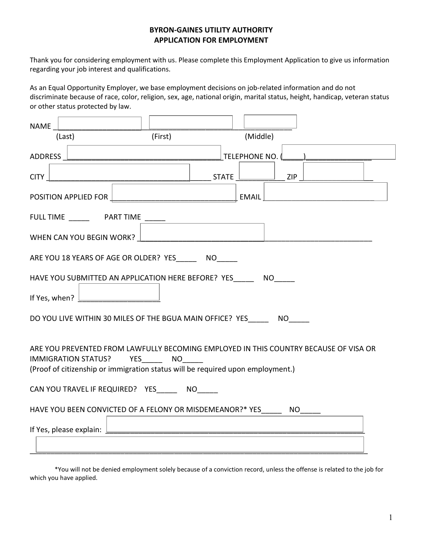## BYRON-GAINES UTILITY AUTHORITY APPLICATION FOR EMPLOYMENT

Thank you for considering employment with us. Please complete this Employment Application to give us information regarding your job interest and qualifications.

As an Equal Opportunity Employer, we base employment decisions on job-related information and do not discriminate because of race, color, religion, sex, age, national origin, marital status, height, handicap, veteran status or other status protected by law.

| <b>NAME</b>                                                                                                                                                                                                                     |  |  |
|---------------------------------------------------------------------------------------------------------------------------------------------------------------------------------------------------------------------------------|--|--|
| (Middle)<br>(First)<br>(Last)                                                                                                                                                                                                   |  |  |
| TELEPHONE NO.<br><b>ADDRESS</b>                                                                                                                                                                                                 |  |  |
| <b>CITY</b><br><b>STATE</b><br>ZIP                                                                                                                                                                                              |  |  |
| POSITION APPLIED FOR<br><b>EMAIL</b>                                                                                                                                                                                            |  |  |
| <b>FULL TIME</b><br><b>PART TIME</b>                                                                                                                                                                                            |  |  |
| WHEN CAN YOU BEGIN WORK?                                                                                                                                                                                                        |  |  |
| ARE YOU 18 YEARS OF AGE OR OLDER? YES<br><b>NO</b>                                                                                                                                                                              |  |  |
| HAVE YOU SUBMITTED AN APPLICATION HERE BEFORE? YES<br><b>NO</b>                                                                                                                                                                 |  |  |
| If Yes, when?                                                                                                                                                                                                                   |  |  |
| DO YOU LIVE WITHIN 30 MILES OF THE BGUA MAIN OFFICE? YES<br><b>NO</b>                                                                                                                                                           |  |  |
| ARE YOU PREVENTED FROM LAWFULLY BECOMING EMPLOYED IN THIS COUNTRY BECAUSE OF VISA OR<br><b>YES</b><br><b>NO</b><br><b>IMMIGRATION STATUS?</b><br>(Proof of citizenship or immigration status will be required upon employment.) |  |  |
| CAN YOU TRAVEL IF REQUIRED? YES<br><b>NO</b>                                                                                                                                                                                    |  |  |
| HAVE YOU BEEN CONVICTED OF A FELONY OR MISDEMEANOR?* YES<br><b>NO</b>                                                                                                                                                           |  |  |
| If Yes, please explain:                                                                                                                                                                                                         |  |  |

\*You will not be denied employment solely because of a conviction record, unless the offense is related to the job for which you have applied.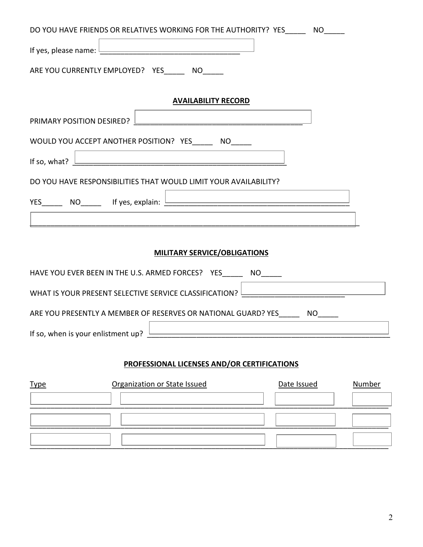| DO YOU HAVE FRIENDS OR RELATIVES WORKING FOR THE AUTHORITY? YES $\Box$<br><b>NO</b> |  |  |
|-------------------------------------------------------------------------------------|--|--|
| If yes, please name: $\frac{1}{2}$                                                  |  |  |
| ARE YOU CURRENTLY EMPLOYED? YES<br><b>NO</b>                                        |  |  |
| <b>AVAILABILITY RECORD</b>                                                          |  |  |
|                                                                                     |  |  |
| PRIMARY POSITION DESIRED?                                                           |  |  |
| WOULD YOU ACCEPT ANOTHER POSITION? YES $\Box$<br><b>NO</b>                          |  |  |
| If so, what?                                                                        |  |  |
| DO YOU HAVE RESPONSIBILITIES THAT WOULD LIMIT YOUR AVAILABILITY?                    |  |  |
| YES $\Box$ NO $\Box$ If yes, explain: $\Box$                                        |  |  |
|                                                                                     |  |  |
|                                                                                     |  |  |
| <b>MILITARY SERVICE/OBLIGATIONS</b>                                                 |  |  |
| HAVE YOU EVER BEEN IN THE U.S. ARMED FORCES? YES $\Box$ NO $\Box$                   |  |  |
| WHAT IS YOUR PRESENT SELECTIVE SERVICE CLASSIFICATION?                              |  |  |
| ARE YOU PRESENTLY A MEMBER OF RESERVES OR NATIONAL GUARD? YES<br><b>NO</b>          |  |  |
| If so, when is your enlistment up?                                                  |  |  |
|                                                                                     |  |  |
| <b>PROFESSIONAL LICENSES AND/OR CERTIFICATIONS</b>                                  |  |  |

| <b>Type</b> | Organization or State Issued | Date Issued | Number |
|-------------|------------------------------|-------------|--------|
|             |                              |             |        |
|             |                              |             |        |
|             |                              |             |        |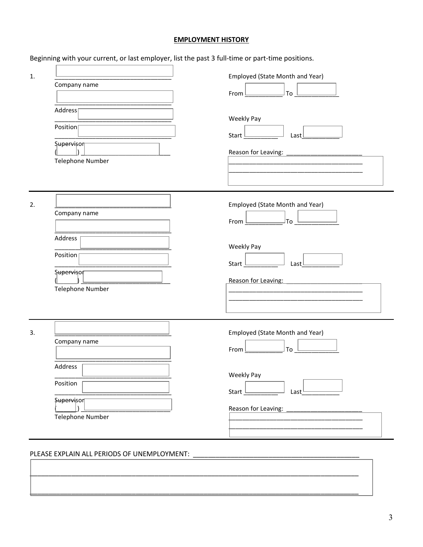## **EMPLOYMENT HISTORY**

Beginning with your current, or last employer, list the past 3 full-time or part-time positions.

| 1. | Company name<br>Address <sub>[</sub><br>Position<br>Supervisor<br>Telephone Number | Employed (State Month and Year)<br>To<br>From $L$<br>Weekly Pay<br>Start L<br>Last $L$                                            |
|----|------------------------------------------------------------------------------------|-----------------------------------------------------------------------------------------------------------------------------------|
| 2. | Company name<br>Address<br>Position [<br>Supervisor<br>Telephone Number            | Employed (State Month and Year)<br>J⊤o <sup>l</sup><br>From $L$<br>Weekly Pay<br>Start $\perp$<br>Last $L$<br>Reason for Leaving: |
| 3. | Company name<br>Address<br>Position<br><b>Supervisor</b><br>Telephone Number       | Employed (State Month and Year)<br>To<br>From L<br>Weekly Pay<br>Start _<br>Last $\frac{1}{2}$<br>Reason for Leaving:             |

#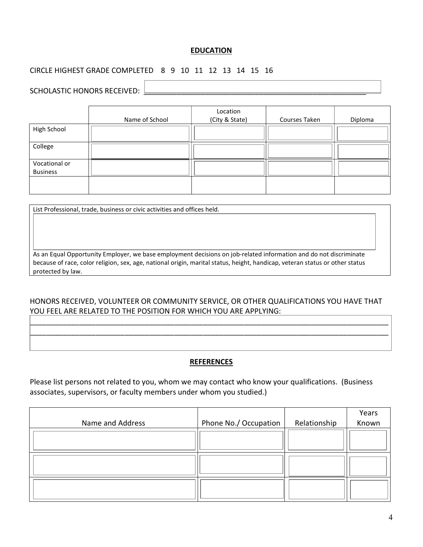## EDUCATION

# CIRCLE HIGHEST GRADE COMPLETED 8 9 10 11 12 13 14 15 16

# SCHOLASTIC HONORS RECEIVED:

I I I I

|                                  | Name of School | Location<br>(City & State) | Courses Taken | Diploma |
|----------------------------------|----------------|----------------------------|---------------|---------|
| High School                      |                |                            |               |         |
| College                          |                |                            |               |         |
| Vocational or<br><b>Business</b> |                |                            |               |         |
|                                  |                |                            |               |         |

List Professional, trade, business or civic activities and offices held.

As an Equal Opportunity Employer, we base employment decisions on job-related information and do not discriminate because of race, color religion, sex, age, national origin, marital status, height, handicap, veteran status or other status protected by law.

### HONORS RECEIVED, VOLUNTEER OR COMMUNITY SERVICE, OR OTHER QUALIFICATIONS YOU HAVE THAT YOU FEEL ARE RELATED TO THE POSITION FOR WHICH YOU ARE APPLYING:

\_\_\_\_\_\_\_\_\_\_\_\_\_\_\_\_\_\_\_\_\_\_\_\_\_\_\_\_\_\_\_\_\_\_\_\_\_\_\_\_\_\_\_\_\_\_\_\_\_\_\_\_\_\_\_\_\_\_\_\_\_\_\_\_\_\_\_\_\_\_\_\_\_\_\_\_\_\_\_\_\_\_\_\_\_\_\_ \_\_\_\_\_\_\_\_\_\_\_\_\_\_\_\_\_\_\_\_\_\_\_\_\_\_\_\_\_\_\_\_\_\_\_\_\_\_\_\_\_\_\_\_\_\_\_\_\_\_\_\_\_\_\_\_\_\_\_\_\_\_\_\_\_\_\_\_\_\_\_\_\_\_\_\_\_\_\_\_\_\_\_\_\_\_\_

#### REFERENCES

Please list persons not related to you, whom we may contact who know your qualifications. (Business associates, supervisors, or faculty members under whom you studied.)

|                  |                       |              | Years |
|------------------|-----------------------|--------------|-------|
| Name and Address | Phone No./ Occupation | Relationship | Known |
|                  |                       |              |       |
|                  |                       |              |       |
|                  |                       |              |       |
|                  |                       |              |       |
|                  |                       |              |       |
|                  |                       |              |       |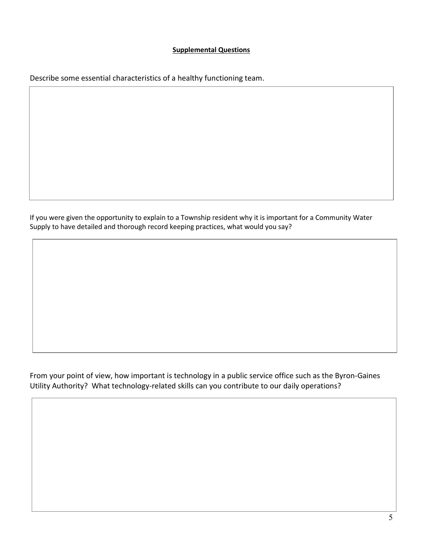### Supplemental Questions

Describe some essential characteristics of a healthy functioning team.

If you were given the opportunity to explain to a Township resident why it is important for a Community Water Supply to have detailed and thorough record keeping practices, what would you say?

From your point of view, how important is technology in a public service office such as the Byron-Gaines Utility Authority? What technology-related skills can you contribute to our daily operations?